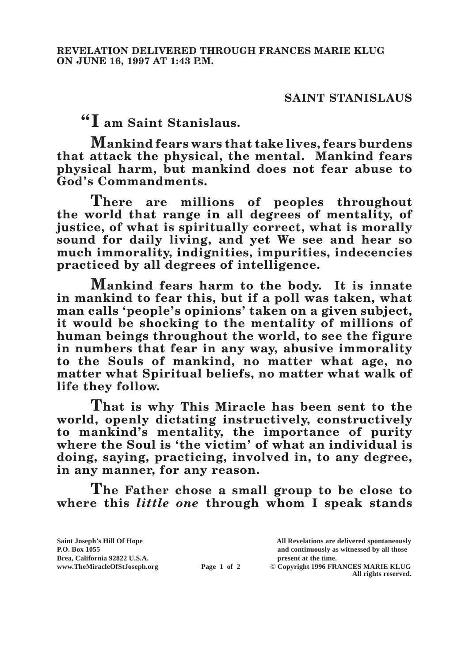## **SAINT STANISLAUS**

**"I am Saint Stanislaus.**

**Mankind fears wars that take lives, fears burdens that attack the physical, the mental. Mankind fears physical harm, but mankind does not fear abuse to God's Commandments.**

**There are millions of peoples throughout the world that range in all degrees of mentality, of justice, of what is spiritually correct, what is morally sound for daily living, and yet We see and hear so much immorality, indignities, impurities, indecencies practiced by all degrees of intelligence.**

**Mankind fears harm to the body. It is innate in mankind to fear this, but if a poll was taken, what man calls 'people's opinions' taken on a given subject, it would be shocking to the mentality of millions of human beings throughout the world, to see the figure in numbers that fear in any way, abusive immorality to the Souls of mankind, no matter what age, no matter what Spiritual beliefs, no matter what walk of life they follow.**

**That is why This Miracle has been sent to the world, openly dictating instructively, constructively to mankind's mentality, the importance of purity where the Soul is 'the victim' of what an individual is doing, saying, practicing, involved in, to any degree, in any manner, for any reason.**

**The Father chose a small group to be close to where this** *little one* **through whom I speak stands** 

| Saint Joseph's Hill Of Hope   |             | All Revelations are delivered spontaneously |
|-------------------------------|-------------|---------------------------------------------|
| <b>P.O. Box 1055</b>          |             | and continuously as witnessed by all those  |
| Brea, California 92822 U.S.A. |             | present at the time.                        |
| www.TheMiracleOfStJoseph.org  | Page 1 of 2 | © Copyright 1996 FRANCES MARIE KLUG         |
|                               |             | All rights reserved.                        |